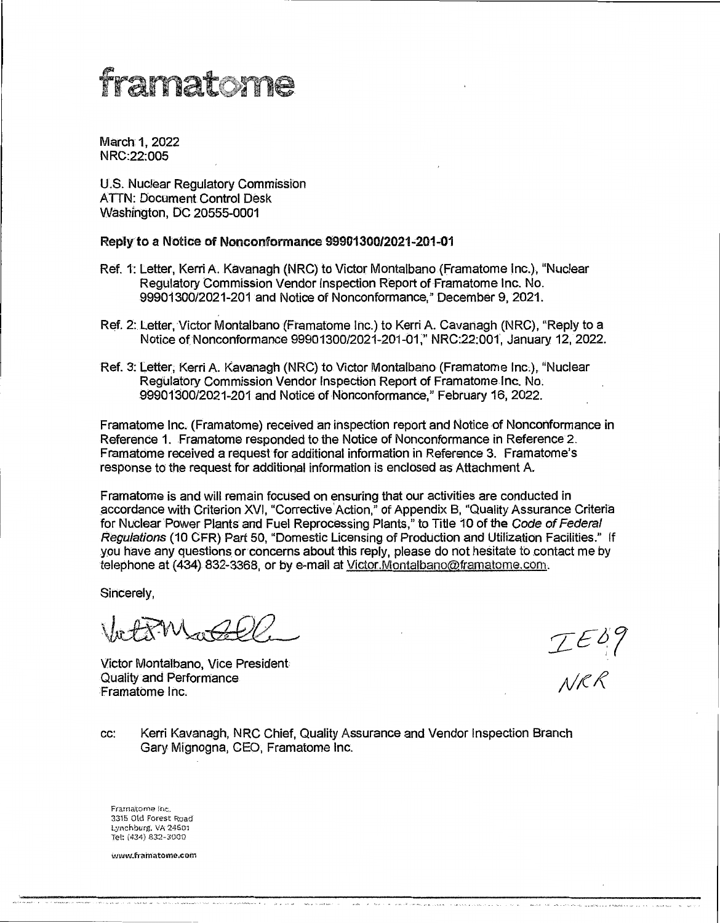## framatome

March 1, 2022 NRC:22:005

U.S. Nuclear Regulatory Commission ATTN: Document Control Desk Washington, DC 20555-0001

## Reply to a Notice of Nonconformance 99901300/2021-201-01

- Ref. 1: Letter, Kerri A. Kavanagh (NRC) to Victor Montalbano (Framatome Inc.}, "Nuclear Regµlatory Commission Vendor Inspection Report of Framatome Inc. No. 99901300/2021-201 and Notice of Nonconformance," December 9, 2021.
- Ref. 2:Letter, Victor Montalbano (Framatome Inc.) to Kerri A. Cavanagh (NRG), "Reply to a Notice of Nonconformance 99901300/2021-201-01," NRC:22:001, January 12, 2022.
- Ref. 3: Letter; Kerri A. Kavanagh (NRC) to Victor Montalbano (Framatome Inc.),. ''Nuclear Regulatory Commission Vendor Inspection Report of Framatome Inc. No. 99901'300/2021-201 and Notice of Nonconformance," February 16, 2022.

Framatome Inc. (Framatome) received an inspection report and Notice of Nonconformance in Reference 1. Framatome responded to the Notice of Nonconformance in Reference 2. Framatome received a request for additional information in Reference 3. Framatome's response to the request for additional information is enclosed as Attachment A.

Framatome is and will remain focused on ensuring that our activities are conducted in accordance with Criterion XVI, "Corrective Action," of Appendix B, "Quality Assurance Criteria for Nuclear Power Plants and Fuel Reprocessing Plants," to Title 10 of the Code of Federal Regulations (10 CFR) Part 50, "Domestic Licensing of Production and Utilization Facilities." If you have any questions or concerns about this reply, please do not hesitate to contact me by telephone at (434) 832-3368, or by e-mail at Victor.Montalbano@framatome.com.

Sincerely,

 $\overline{a}$ 

IED9<br>NRR

Victor Montalbano, Vice President Quality and Performance Framatbme Inc.

cc: Kerri Kavanagh, NRG Chief, Quality Assurance and Vendor Inspection Branch Gary Mignogna, GEO, Framatome Inc.

Framatome Inc. 3315 Old Forest Road Lynchburg. VA 24501 Tel: (434) 832-3000

www.framatome.com